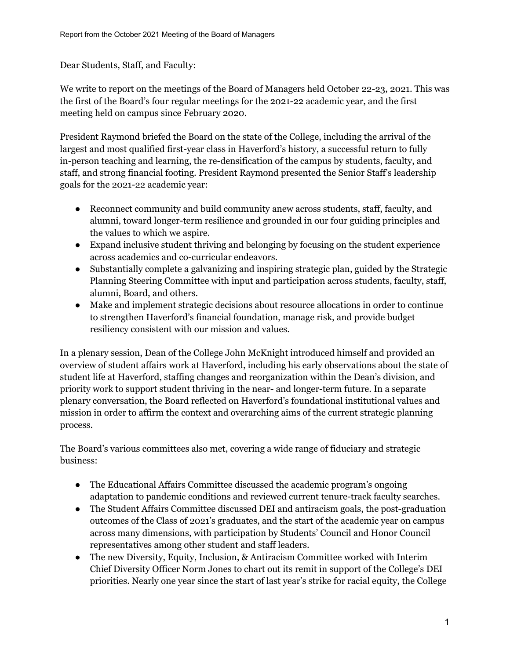Dear Students, Staff, and Faculty:

We write to report on the meetings of the Board of Managers held October 22-23, 2021. This was the first of the Board's four regular meetings for the 2021-22 academic year, and the first meeting held on campus since February 2020.

President Raymond briefed the Board on the state of the College, including the arrival of the largest and most qualified first-year class in Haverford's history, a successful return to fully in-person teaching and learning, the re-densification of the campus by students, faculty, and staff, and strong financial footing. President Raymond presented the Senior Staff's leadership goals for the 2021-22 academic year:

- Reconnect community and build community anew across students, staff, faculty, and alumni, toward longer-term resilience and grounded in our four guiding principles and the values to which we aspire.
- Expand inclusive student thriving and belonging by focusing on the student experience across academics and co-curricular endeavors.
- Substantially complete a galvanizing and inspiring strategic plan, guided by the Strategic Planning Steering Committee with input and participation across students, faculty, staff, alumni, Board, and others.
- Make and implement strategic decisions about resource allocations in order to continue to strengthen Haverford's financial foundation, manage risk, and provide budget resiliency consistent with our mission and values.

In a plenary session, Dean of the College John McKnight introduced himself and provided an overview of student affairs work at Haverford, including his early observations about the state of student life at Haverford, staffing changes and reorganization within the Dean's division, and priority work to support student thriving in the near- and longer-term future. In a separate plenary conversation, the Board reflected on Haverford's foundational institutional values and mission in order to affirm the context and overarching aims of the current strategic planning process.

The Board's various committees also met, covering a wide range of fiduciary and strategic business:

- The Educational Affairs Committee discussed the academic program's ongoing adaptation to pandemic conditions and reviewed current tenure-track faculty searches.
- The Student Affairs Committee discussed DEI and antiracism goals, the post-graduation outcomes of the Class of 2021's graduates, and the start of the academic year on campus across many dimensions, with participation by Students' Council and Honor Council representatives among other student and staff leaders.
- The new Diversity, Equity, Inclusion, & Antiracism Committee worked with Interim Chief Diversity Officer Norm Jones to chart out its remit in support of the College's DEI priorities. Nearly one year since the start of last year's strike for racial equity, the College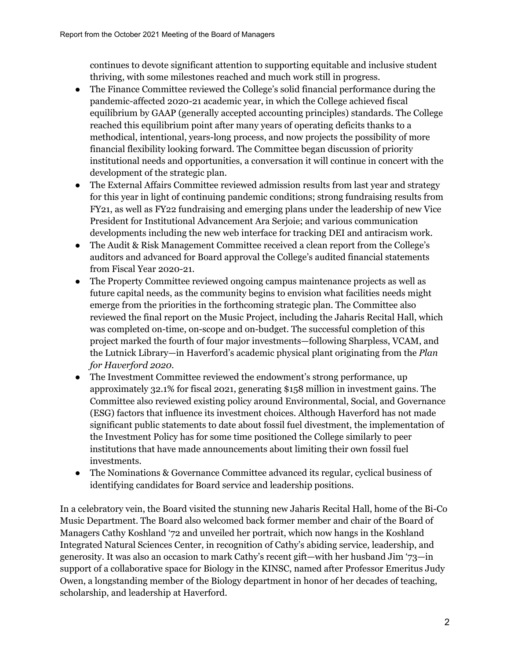continues to devote significant attention to supporting equitable and inclusive student thriving, with some milestones reached and much work still in progress.

- The Finance Committee reviewed the College's solid financial performance during the pandemic-affected 2020-21 academic year, in which the College achieved fiscal equilibrium by GAAP (generally accepted accounting principles) standards. The College reached this equilibrium point after many years of operating deficits thanks to a methodical, intentional, years-long process, and now projects the possibility of more financial flexibility looking forward. The Committee began discussion of priority institutional needs and opportunities, a conversation it will continue in concert with the development of the strategic plan.
- The External Affairs Committee reviewed admission results from last year and strategy for this year in light of continuing pandemic conditions; strong fundraising results from FY21, as well as FY22 fundraising and emerging plans under the leadership of new Vice President for Institutional Advancement Ara Serjoie; and various communication developments including the new web interface for tracking DEI and antiracism work.
- The Audit & Risk Management Committee received a clean report from the College's auditors and advanced for Board approval the College's audited financial statements from Fiscal Year 2020-21.
- The Property Committee reviewed ongoing campus maintenance projects as well as future capital needs, as the community begins to envision what facilities needs might emerge from the priorities in the forthcoming strategic plan. The Committee also reviewed the final report on the Music Project, including the Jaharis Recital Hall, which was completed on-time, on-scope and on-budget. The successful completion of this project marked the fourth of four major investments—following Sharpless, VCAM, and the Lutnick Library—in Haverford's academic physical plant originating from the *Plan for Haverford 2020*.
- The Investment Committee reviewed the endowment's strong performance, up approximately 32.1% for fiscal 2021, generating \$158 million in investment gains. The Committee also reviewed existing policy around Environmental, Social, and Governance (ESG) factors that influence its investment choices. Although Haverford has not made significant public statements to date about fossil fuel divestment, the implementation of the Investment Policy has for some time positioned the College similarly to peer institutions that have made announcements about limiting their own fossil fuel investments.
- The Nominations & Governance Committee advanced its regular, cyclical business of identifying candidates for Board service and leadership positions.

In a celebratory vein, the Board visited the stunning new Jaharis Recital Hall, home of the Bi-Co Music Department. The Board also welcomed back former member and chair of the Board of Managers Cathy Koshland '72 and unveiled her portrait, which now hangs in the Koshland Integrated Natural Sciences Center, in recognition of Cathy's abiding service, leadership, and generosity. It was also an occasion to mark Cathy's recent gift—with her husband Jim '73—in support of a collaborative space for Biology in the KINSC, named after Professor Emeritus Judy Owen, a longstanding member of the Biology department in honor of her decades of teaching, scholarship, and leadership at Haverford.